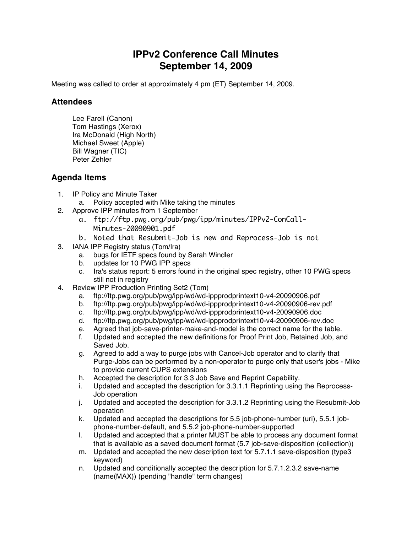## **IPPv2 Conference Call Minutes September 14, 2009**

Meeting was called to order at approximately 4 pm (ET) September 14, 2009.

## **Attendees**

Lee Farell (Canon) Tom Hastings (Xerox) Ira McDonald (High North) Michael Sweet (Apple) Bill Wagner (TIC) Peter Zehler

## **Agenda Items**

- 1. IP Policy and Minute Taker
	- a. Policy accepted with Mike taking the minutes
- 2. Approve IPP minutes from 1 September
	- a. ftp://ftp.pwg.org/pub/pwg/ipp/minutes/IPPv2-ConCall-Minutes-20090901.pdf
	- b. Noted that Resubmit-Job is new and Reprocess-Job is not
- 3. IANA IPP Registry status (Tom/Ira)
	- a. bugs for IETF specs found by Sarah Windler
	- b. updates for 10 PWG IPP specs
	- c. Ira's status report: 5 errors found in the original spec registry, other 10 PWG specs still not in registry
- 4. Review IPP Production Printing Set2 (Tom)
	- a. ftp://ftp.pwg.org/pub/pwg/ipp/wd/wd-ippprodprintext10-v4-20090906.pdf
	- b. ftp://ftp.pwg.org/pub/pwg/ipp/wd/wd-ippprodprintext10-v4-20090906-rev.pdf
	- c. ftp://ftp.pwg.org/pub/pwg/ipp/wd/wd-ippprodprintext10-v4-20090906.doc
	- d. ftp://ftp.pwg.org/pub/pwg/ipp/wd/wd-ippprodprintext10-v4-20090906-rev.doc
	- e. Agreed that job-save-printer-make-and-model is the correct name for the table.
	- f. Updated and accepted the new definitions for Proof Print Job, Retained Job, and Saved Job.
	- g. Agreed to add a way to purge jobs with Cancel-Job operator and to clarify that Purge-Jobs can be performed by a non-operator to purge only that user's jobs - Mike to provide current CUPS extensions
	- h. Accepted the description for 3.3 Job Save and Reprint Capability.
	- i. Updated and accepted the description for 3.3.1.1 Reprinting using the Reprocess-Job operation
	- j. Updated and accepted the description for 3.3.1.2 Reprinting using the Resubmit-Job operation
	- k. Updated and accepted the descriptions for 5.5 job-phone-number (uri), 5.5.1 jobphone-number-default, and 5.5.2 job-phone-number-supported
	- l. Updated and accepted that a printer MUST be able to process any document format that is available as a saved document format (5.7 job-save-disposition (collection))
	- m. Updated and accepted the new description text for 5.7.1.1 save-disposition (type3 keyword)
	- n. Updated and conditionally accepted the description for 5.7.1.2.3.2 save-name (name(MAX)) (pending "handle" term changes)